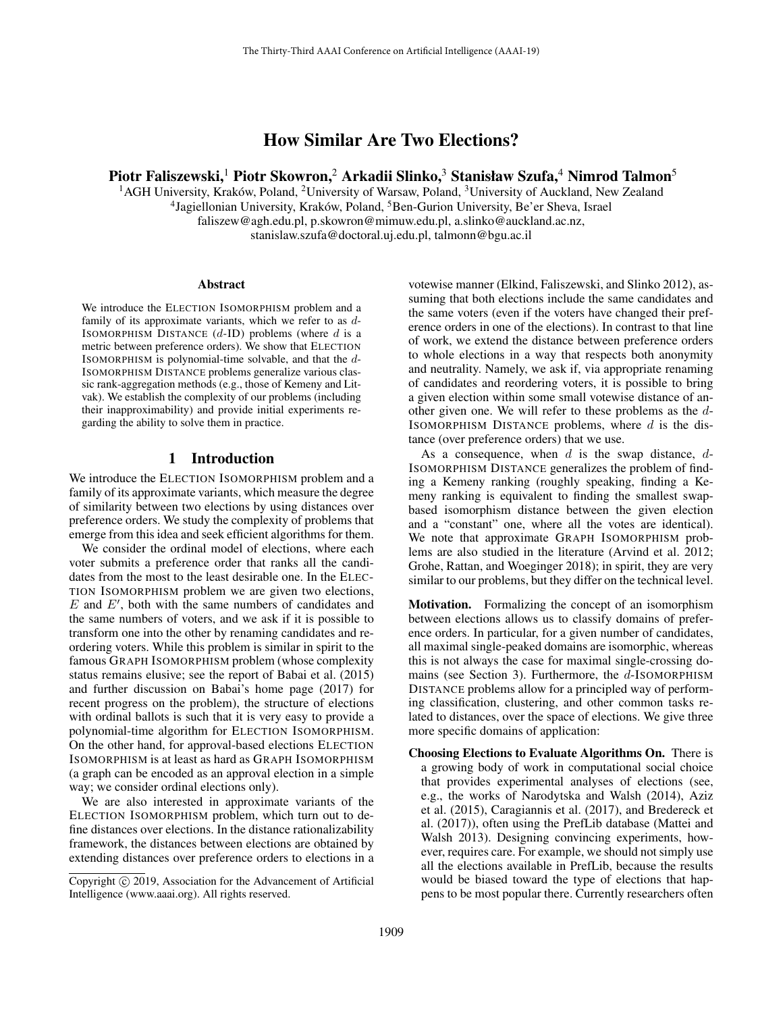# How Similar Are Two Elections?

## Piotr Faliszewski,<sup>1</sup> Piotr Skowron,<sup>2</sup> Arkadii Slinko,<sup>3</sup> Stanisław Szufa,<sup>4</sup> Nimrod Talmon<sup>5</sup>

<sup>1</sup> AGH University, Kraków, Poland, <sup>2</sup>University of Warsaw, Poland, <sup>3</sup>University of Auckland, New Zealand <sup>4</sup> Jagiellonian University, Kraków, Poland, <sup>5</sup> Ben-Gurion University, Be'er Sheva, Israel faliszew@agh.edu.pl, p.skowron@mimuw.edu.pl, a.slinko@auckland.ac.nz, stanislaw.szufa@doctoral.uj.edu.pl, talmonn@bgu.ac.il

#### Abstract

We introduce the ELECTION ISOMORPHISM problem and a family of its approximate variants, which we refer to as d-ISOMORPHISM DISTANCE  $(d-ID)$  problems (where d is a metric between preference orders). We show that ELECTION ISOMORPHISM is polynomial-time solvable, and that the d-ISOMORPHISM DISTANCE problems generalize various classic rank-aggregation methods (e.g., those of Kemeny and Litvak). We establish the complexity of our problems (including their inapproximability) and provide initial experiments regarding the ability to solve them in practice.

### 1 Introduction

We introduce the ELECTION ISOMORPHISM problem and a family of its approximate variants, which measure the degree of similarity between two elections by using distances over preference orders. We study the complexity of problems that emerge from this idea and seek efficient algorithms for them.

We consider the ordinal model of elections, where each voter submits a preference order that ranks all the candidates from the most to the least desirable one. In the ELEC-TION ISOMORPHISM problem we are given two elections,  $E$  and  $E'$ , both with the same numbers of candidates and the same numbers of voters, and we ask if it is possible to transform one into the other by renaming candidates and reordering voters. While this problem is similar in spirit to the famous GRAPH ISOMORPHISM problem (whose complexity status remains elusive; see the report of Babai et al. (2015) and further discussion on Babai's home page (2017) for recent progress on the problem), the structure of elections with ordinal ballots is such that it is very easy to provide a polynomial-time algorithm for ELECTION ISOMORPHISM. On the other hand, for approval-based elections ELECTION ISOMORPHISM is at least as hard as GRAPH ISOMORPHISM (a graph can be encoded as an approval election in a simple way; we consider ordinal elections only).

We are also interested in approximate variants of the ELECTION ISOMORPHISM problem, which turn out to define distances over elections. In the distance rationalizability framework, the distances between elections are obtained by extending distances over preference orders to elections in a

votewise manner (Elkind, Faliszewski, and Slinko 2012), assuming that both elections include the same candidates and the same voters (even if the voters have changed their preference orders in one of the elections). In contrast to that line of work, we extend the distance between preference orders to whole elections in a way that respects both anonymity and neutrality. Namely, we ask if, via appropriate renaming of candidates and reordering voters, it is possible to bring a given election within some small votewise distance of another given one. We will refer to these problems as the d-ISOMORPHISM DISTANCE problems, where  $d$  is the distance (over preference orders) that we use.

As a consequence, when  $d$  is the swap distance,  $d$ -ISOMORPHISM DISTANCE generalizes the problem of finding a Kemeny ranking (roughly speaking, finding a Kemeny ranking is equivalent to finding the smallest swapbased isomorphism distance between the given election and a "constant" one, where all the votes are identical). We note that approximate GRAPH ISOMORPHISM problems are also studied in the literature (Arvind et al. 2012; Grohe, Rattan, and Woeginger 2018); in spirit, they are very similar to our problems, but they differ on the technical level.

Motivation. Formalizing the concept of an isomorphism between elections allows us to classify domains of preference orders. In particular, for a given number of candidates, all maximal single-peaked domains are isomorphic, whereas this is not always the case for maximal single-crossing domains (see Section 3). Furthermore, the  $d$ -ISOMORPHISM DISTANCE problems allow for a principled way of performing classification, clustering, and other common tasks related to distances, over the space of elections. We give three more specific domains of application:

Choosing Elections to Evaluate Algorithms On. There is a growing body of work in computational social choice that provides experimental analyses of elections (see, e.g., the works of Narodytska and Walsh (2014), Aziz et al. (2015), Caragiannis et al. (2017), and Bredereck et al. (2017)), often using the PrefLib database (Mattei and Walsh 2013). Designing convincing experiments, however, requires care. For example, we should not simply use all the elections available in PrefLib, because the results would be biased toward the type of elections that happens to be most popular there. Currently researchers often

Copyright (c) 2019, Association for the Advancement of Artificial Intelligence (www.aaai.org). All rights reserved.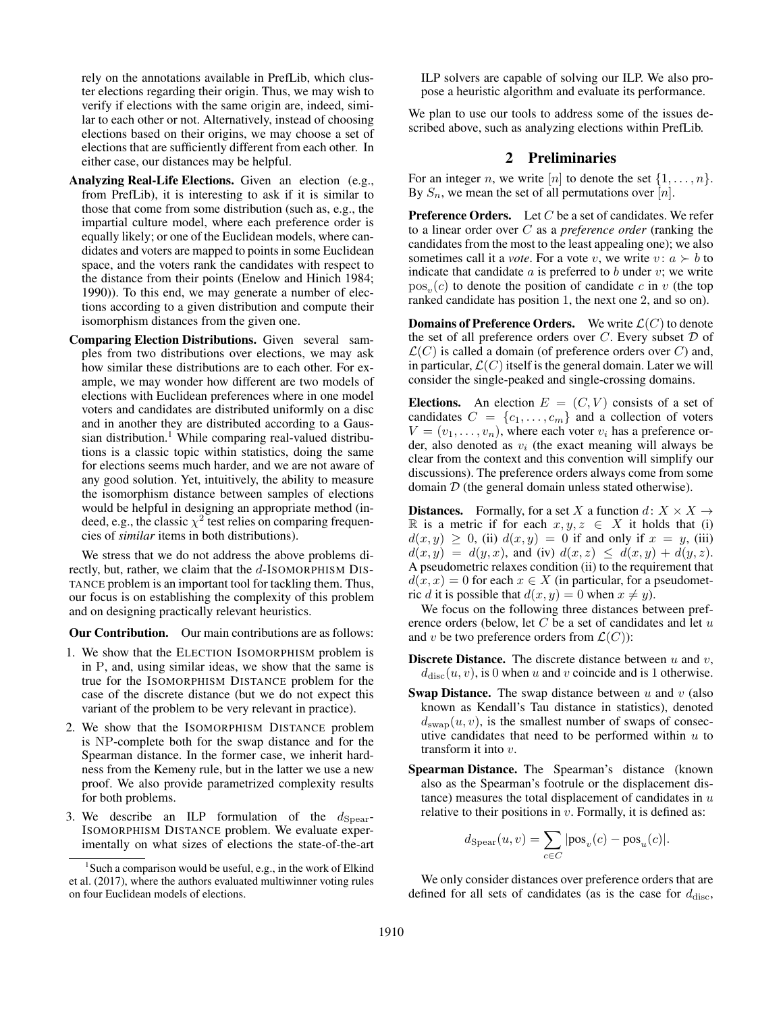rely on the annotations available in PrefLib, which cluster elections regarding their origin. Thus, we may wish to verify if elections with the same origin are, indeed, similar to each other or not. Alternatively, instead of choosing elections based on their origins, we may choose a set of elections that are sufficiently different from each other. In either case, our distances may be helpful.

- Analyzing Real-Life Elections. Given an election (e.g., from PrefLib), it is interesting to ask if it is similar to those that come from some distribution (such as, e.g., the impartial culture model, where each preference order is equally likely; or one of the Euclidean models, where candidates and voters are mapped to points in some Euclidean space, and the voters rank the candidates with respect to the distance from their points (Enelow and Hinich 1984; 1990)). To this end, we may generate a number of elections according to a given distribution and compute their isomorphism distances from the given one.
- Comparing Election Distributions. Given several samples from two distributions over elections, we may ask how similar these distributions are to each other. For example, we may wonder how different are two models of elections with Euclidean preferences where in one model voters and candidates are distributed uniformly on a disc and in another they are distributed according to a Gaussian distribution.<sup>1</sup> While comparing real-valued distributions is a classic topic within statistics, doing the same for elections seems much harder, and we are not aware of any good solution. Yet, intuitively, the ability to measure the isomorphism distance between samples of elections would be helpful in designing an appropriate method (indeed, e.g., the classic  $\chi^2$  test relies on comparing frequencies of *similar* items in both distributions).

We stress that we do not address the above problems directly, but, rather, we claim that the  $d$ -ISOMORPHISM DIS-TANCE problem is an important tool for tackling them. Thus, our focus is on establishing the complexity of this problem and on designing practically relevant heuristics.

Our Contribution. Our main contributions are as follows:

- 1. We show that the ELECTION ISOMORPHISM problem is in P, and, using similar ideas, we show that the same is true for the ISOMORPHISM DISTANCE problem for the case of the discrete distance (but we do not expect this variant of the problem to be very relevant in practice).
- 2. We show that the ISOMORPHISM DISTANCE problem is NP-complete both for the swap distance and for the Spearman distance. In the former case, we inherit hardness from the Kemeny rule, but in the latter we use a new proof. We also provide parametrized complexity results for both problems.
- 3. We describe an ILP formulation of the  $d_{Spear}$ -ISOMORPHISM DISTANCE problem. We evaluate experimentally on what sizes of elections the state-of-the-art

ILP solvers are capable of solving our ILP. We also propose a heuristic algorithm and evaluate its performance.

We plan to use our tools to address some of the issues described above, such as analyzing elections within PrefLib.

## 2 Preliminaries

For an integer *n*, we write [*n*] to denote the set  $\{1, \ldots, n\}$ . By  $S_n$ , we mean the set of all permutations over [n].

**Preference Orders.** Let  $C$  be a set of candidates. We refer to a linear order over C as a *preference order* (ranking the candidates from the most to the least appealing one); we also sometimes call it a *vote*. For a vote v, we write  $v: a \succ b$  to indicate that candidate  $a$  is preferred to  $b$  under  $v$ ; we write  $pos_v(c)$  to denote the position of candidate c in v (the top ranked candidate has position 1, the next one 2, and so on).

**Domains of Preference Orders.** We write  $\mathcal{L}(C)$  to denote the set of all preference orders over  $C$ . Every subset  $D$  of  $\mathcal{L}(C)$  is called a domain (of preference orders over C) and, in particular,  $\mathcal{L}(C)$  itself is the general domain. Later we will consider the single-peaked and single-crossing domains.

Elections. An election  $E = (C, V)$  consists of a set of candidates  $C = \{c_1, \ldots, c_m\}$  and a collection of voters  $V = (v_1, \ldots, v_n)$ , where each voter  $v_i$  has a preference order, also denoted as  $v_i$  (the exact meaning will always be clear from the context and this convention will simplify our discussions). The preference orders always come from some domain  $D$  (the general domain unless stated otherwise).

**Distances.** Formally, for a set X a function  $d: X \times X \rightarrow$ R is a metric if for each  $x, y, z \in X$  it holds that (i)  $d(x, y) \ge 0$ , (ii)  $d(x, y) = 0$  if and only if  $x = y$ , (iii)  $d(x, y) = d(y, x)$ , and (iv)  $d(x, z) \leq d(x, y) + d(y, z)$ . A pseudometric relaxes condition (ii) to the requirement that  $d(x, x) = 0$  for each  $x \in X$  (in particular, for a pseudometric d it is possible that  $d(x, y) = 0$  when  $x \neq y$ .

We focus on the following three distances between preference orders (below, let  $C$  be a set of candidates and let  $u$ and v be two preference orders from  $\mathcal{L}(C)$ :

- **Discrete Distance.** The discrete distance between  $u$  and  $v$ ,  $d_{\text{disc}}(u, v)$ , is 0 when u and v coincide and is 1 otherwise.
- **Swap Distance.** The swap distance between  $u$  and  $v$  (also known as Kendall's Tau distance in statistics), denoted  $d_{\text{swap}}(u, v)$ , is the smallest number of swaps of consecutive candidates that need to be performed within  $u$  to transform it into v.
- Spearman Distance. The Spearman's distance (known also as the Spearman's footrule or the displacement distance) measures the total displacement of candidates in  $u$ relative to their positions in  $v$ . Formally, it is defined as:

$$
d_{\text{Spear}}(u, v) = \sum_{c \in C} |\text{pos}_v(c) - \text{pos}_u(c)|.
$$

We only consider distances over preference orders that are defined for all sets of candidates (as is the case for  $d_{\rm disc}$ ,

<sup>&</sup>lt;sup>1</sup> Such a comparison would be useful, e.g., in the work of Elkind et al. (2017), where the authors evaluated multiwinner voting rules on four Euclidean models of elections.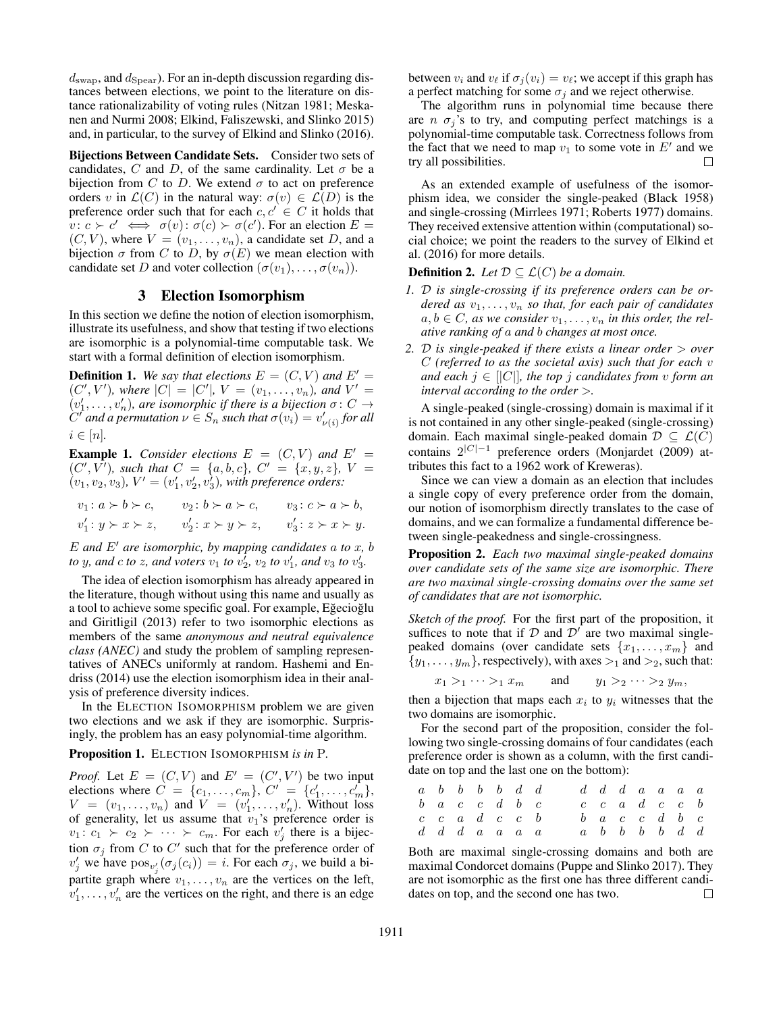$d_{\text{swap}}$ , and  $d_{\text{Spear}}$ ). For an in-depth discussion regarding distances between elections, we point to the literature on distance rationalizability of voting rules (Nitzan 1981; Meskanen and Nurmi 2008; Elkind, Faliszewski, and Slinko 2015) and, in particular, to the survey of Elkind and Slinko (2016).

Bijections Between Candidate Sets. Consider two sets of candidates, C and D, of the same cardinality. Let  $\sigma$  be a bijection from C to D. We extend  $\sigma$  to act on preference orders v in  $\mathcal{L}(C)$  in the natural way:  $\sigma(v) \in \mathcal{L}(D)$  is the preference order such that for each  $c, c' \in C$  it holds that  $v: c \succ c' \iff \sigma(v): \sigma(c) \succ \sigma(c')$ . For an election  $E =$  $(C, V)$ , where  $V = (v_1, \ldots, v_n)$ , a candidate set D, and a bijection  $\sigma$  from C to D, by  $\sigma(E)$  we mean election with candidate set D and voter collection  $(\sigma(v_1), \ldots, \sigma(v_n))$ .

#### 3 Election Isomorphism

In this section we define the notion of election isomorphism, illustrate its usefulness, and show that testing if two elections are isomorphic is a polynomial-time computable task. We start with a formal definition of election isomorphism.

**Definition 1.** We say that elections  $E = (C, V)$  and  $E' =$  $(C', V')$ , where  $|C| = |C'|$ ,  $V = (v_1, \ldots, v_n)$ , and  $V' =$  $(v'_1, \ldots, v'_n)$ , are isomorphic if there is a bijection  $\sigma \colon C \to$  $C^{f}$  and a permutation  $\nu \in S_n$  such that  $\sigma(v_i) = v'_{\nu(i)}$  for all  $i \in [n]$ .

**Example 1.** *Consider elections*  $E = (C, V)$  *and*  $E' =$  $(C', V')$ , such that  $C = \{a, b, c\}$ ,  $C' = \{x, y, z\}$ ,  $V =$  $(v_1, v_2, v_3)$ ,  $V' = (v'_1, v'_2, v'_3)$ , with preference orders:

$$
v_1: a \succ b \succ c, \t v_2: b \succ a \succ c, \t v_3: c \succ a \succ b,
$$
  

$$
v'_1: y \succ x \succ z, \t v'_2: x \succ y \succ z, \t v'_3: z \succ x \succ y.
$$

 $E$  *and*  $E'$  *are isomorphic, by mapping candidates a to x, b to* y, and *c to* z, and voters  $v_1$  *to*  $v_2^i$ ,  $v_2$  *to*  $v_1'$ , and  $v_3$  *to*  $v_3'$ .

The idea of election isomorphism has already appeared in the literature, though without using this name and usually as a tool to achieve some specific goal. For example, Eğecioğlu and Giritligil (2013) refer to two isomorphic elections as members of the same *anonymous and neutral equivalence class (ANEC)* and study the problem of sampling representatives of ANECs uniformly at random. Hashemi and Endriss (2014) use the election isomorphism idea in their analysis of preference diversity indices.

In the ELECTION ISOMORPHISM problem we are given two elections and we ask if they are isomorphic. Surprisingly, the problem has an easy polynomial-time algorithm.

#### Proposition 1. ELECTION ISOMORPHISM *is in* P*.*

*Proof.* Let  $E = (C, V)$  and  $E' = (C', V')$  be two input elections where  $C = \{c_1, \ldots, c_m\}$ ,  $C' = \{c'_1, \ldots, c'_m\}$ ,  $V = (v_1, \ldots, v_n)$  and  $V = (v'_1, \ldots, v'_n)$ . Without loss of generality, let us assume that  $v_1$ 's preference order is  $v_1: c_1 \succ c_2 \succ \cdots \succ c_m$ . For each  $v'_j$  there is a bijection  $\sigma_j$  from C to C' such that for the preference order of  $v'_j$  we have  $pos_{v'_j}(\sigma_j(c_i)) = i$ . For each  $\sigma_j$ , we build a bipartite graph where  $v_1, \ldots, v_n$  are the vertices on the left,  $v'_1, \ldots, v'_n$  are the vertices on the right, and there is an edge

between  $v_i$  and  $v_\ell$  if  $\sigma_i (v_i) = v_\ell$ ; we accept if this graph has a perfect matching for some  $\sigma_i$  and we reject otherwise.

The algorithm runs in polynomial time because there are  $n \sigma_j$ 's to try, and computing perfect matchings is a polynomial-time computable task. Correctness follows from the fact that we need to map  $v_1$  to some vote in  $E'$  and we try all possibilities. П

As an extended example of usefulness of the isomorphism idea, we consider the single-peaked (Black 1958) and single-crossing (Mirrlees 1971; Roberts 1977) domains. They received extensive attention within (computational) social choice; we point the readers to the survey of Elkind et al. (2016) for more details.

### **Definition 2.** *Let*  $\mathcal{D} \subset \mathcal{L}(C)$  *be a domain.*

- *1.* D *is single-crossing if its preference orders can be ordered as*  $v_1, \ldots, v_n$  *so that, for each pair of candidates*  $a, b \in C$ , as we consider  $v_1, \ldots, v_n$  in this order, the rel*ative ranking of* a *and* b *changes at most once.*
- *2.* D *is single-peaked if there exists a linear order* > *over* C *(referred to as the societal axis) such that for each* v *and each*  $j \in [[C]]$ *, the top j candidates from v form an interval according to the order* >*.*

A single-peaked (single-crossing) domain is maximal if it is not contained in any other single-peaked (single-crossing) domain. Each maximal single-peaked domain  $\mathcal{D} \subseteq \mathcal{L}(\overline{C})$ contains  $2^{|C|-1}$  preference orders (Monjardet (2009) attributes this fact to a 1962 work of Kreweras).

Since we can view a domain as an election that includes a single copy of every preference order from the domain, our notion of isomorphism directly translates to the case of domains, and we can formalize a fundamental difference between single-peakedness and single-crossingness.

Proposition 2. *Each two maximal single-peaked domains over candidate sets of the same size are isomorphic. There are two maximal single-crossing domains over the same set of candidates that are not isomorphic.*

*Sketch of the proof.* For the first part of the proposition, it suffices to note that if  $D$  and  $D^{\prime}$  are two maximal singlepeaked domains (over candidate sets  $\{x_1, \ldots, x_m\}$  and  $\{y_1, \ldots, y_m\}$ , respectively), with axes  $\geq_1$  and  $\geq_2$ , such that:

$$
x_1 >_1 \cdots >_1 x_m \qquad \text{and} \qquad y_1 >_2 \cdots >_2 y_m,
$$

then a bijection that maps each  $x_i$  to  $y_i$  witnesses that the two domains are isomorphic.

For the second part of the proposition, consider the following two single-crossing domains of four candidates (each preference order is shown as a column, with the first candidate on top and the last one on the bottom):

|  | $a \quad b \quad b \quad b \quad b \quad d \quad d$ |  |  |  |  |  | $d\, d\, d\, a\, a\, a\, a$                         |  |
|--|-----------------------------------------------------|--|--|--|--|--|-----------------------------------------------------|--|
|  | $b\ a\ c\ c\ d\ b\ c$                               |  |  |  |  |  | $c \quad c \quad a \quad d \quad c \quad c \quad b$ |  |
|  | $c \quad c \quad a \quad d \quad c \quad c \quad b$ |  |  |  |  |  | $b \ a \ c \ c \ d \ b \ c$                         |  |
|  | $d\,$ d $d\,$ a $a\,$ a $a$                         |  |  |  |  |  | $a \quad b \quad b \quad b \quad b \quad d \quad d$ |  |

Both are maximal single-crossing domains and both are maximal Condorcet domains (Puppe and Slinko 2017). They are not isomorphic as the first one has three different candidates on top, and the second one has two.  $\Box$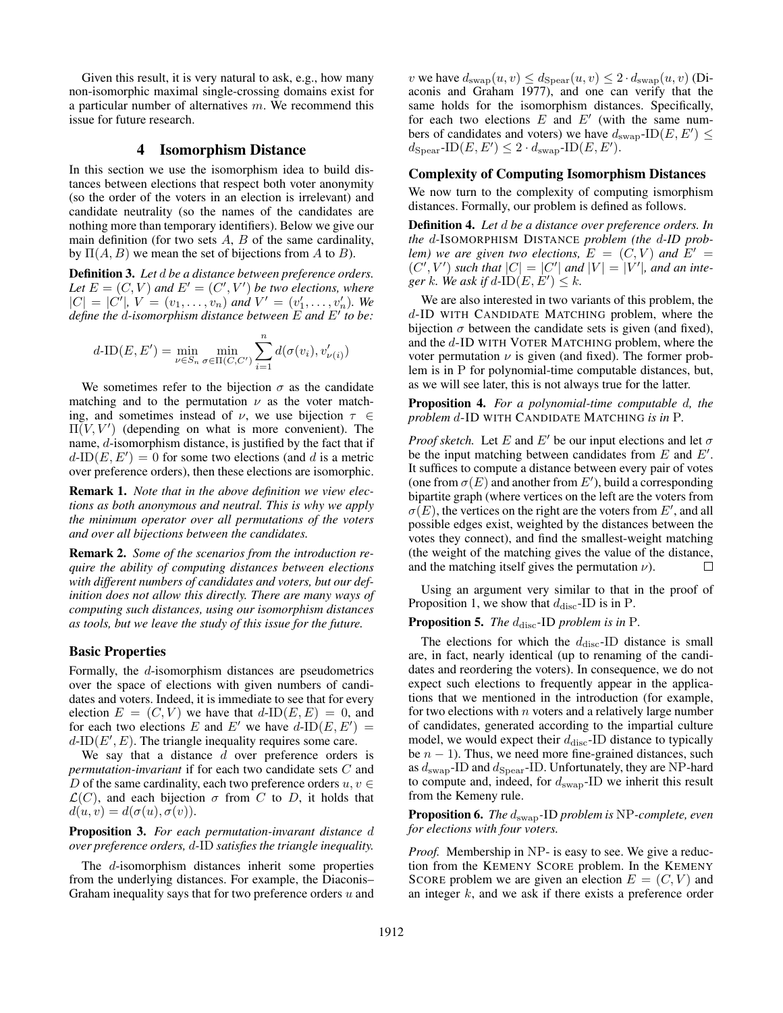Given this result, it is very natural to ask, e.g., how many non-isomorphic maximal single-crossing domains exist for a particular number of alternatives  $m$ . We recommend this issue for future research.

## 4 Isomorphism Distance

In this section we use the isomorphism idea to build distances between elections that respect both voter anonymity (so the order of the voters in an election is irrelevant) and candidate neutrality (so the names of the candidates are nothing more than temporary identifiers). Below we give our main definition (for two sets  $A$ ,  $B$  of the same cardinality, by  $\Pi(A, B)$  we mean the set of bijections from A to B).

Definition 3. *Let* d *be a distance between preference orders.* Let  $E = (C, V)$  and  $E' = (C', V')$  be two elections, where  $|C| = |C'|$ ,  $V = (v_1, \ldots, v_n)$  and  $V' = (v'_1, \ldots, v'_n)$ . We define the *d-isomorphism distance between* E and E' to be:

$$
d\text{-ID}(E, E') = \min_{\nu \in S_n} \min_{\sigma \in \Pi(C, C')} \sum_{i=1}^n d(\sigma(v_i), v'_{\nu(i)})
$$

We sometimes refer to the bijection  $\sigma$  as the candidate matching and to the permutation  $\nu$  as the voter matching, and sometimes instead of  $\nu$ , we use bijection  $\tau \in$  $\Pi(V, V')$  (depending on what is more convenient). The name, d-isomorphism distance, is justified by the fact that if  $d$ -ID $(E, E') = 0$  for some two elections (and d is a metric over preference orders), then these elections are isomorphic.

Remark 1. *Note that in the above definition we view elections as both anonymous and neutral. This is why we apply the minimum operator over all permutations of the voters and over all bijections between the candidates.*

Remark 2. *Some of the scenarios from the introduction require the ability of computing distances between elections with different numbers of candidates and voters, but our definition does not allow this directly. There are many ways of computing such distances, using our isomorphism distances as tools, but we leave the study of this issue for the future.*

#### Basic Properties

Formally, the d-isomorphism distances are pseudometrics over the space of elections with given numbers of candidates and voters. Indeed, it is immediate to see that for every election  $E = (C, V)$  we have that  $d$ -ID $(E, E) = 0$ , and for each two elections E and E' we have  $d$ -ID $(E, E')$  =  $d$ -ID $(E', E)$ . The triangle inequality requires some care.

We say that a distance  $d$  over preference orders is *permutation-invariant* if for each two candidate sets C and D of the same cardinality, each two preference orders  $u, v \in$  $\mathcal{L}(C)$ , and each bijection  $\sigma$  from C to D, it holds that  $d(u, v) = d(\sigma(u), \sigma(v)).$ 

### Proposition 3. *For each permutation-invarant distance* d *over preference orders,* d*-*ID *satisfies the triangle inequality.*

The d-isomorphism distances inherit some properties from the underlying distances. For example, the Diaconis– Graham inequality says that for two preference orders  $u$  and

v we have  $d_{swap}(u, v) \leq d_{\text{Spear}}(u, v) \leq 2 \cdot d_{swap}(u, v)$  (Diaconis and Graham 1977), and one can verify that the same holds for the isomorphism distances. Specifically, for each two elections  $E$  and  $E'$  (with the same numbers of candidates and voters) we have  $d_{swap}$ -ID $(E, E') \leq$  $d_{\text{Spear}}\text{-ID}(E, E') \leq 2 \cdot d_{\text{swap}}\text{-ID}(E, E').$ 

#### Complexity of Computing Isomorphism Distances

We now turn to the complexity of computing ismorphism distances. Formally, our problem is defined as follows.

Definition 4. *Let* d *be a distance over preference orders. In the* d*-*ISOMORPHISM DISTANCE *problem (the* d*-ID problem)* we are given two elections,  $E = (C, V)$  and  $E' =$  $(C', V')$  such that  $|C| = |C'|$  and  $|V| = |V'|$ , and an inte*ger* k. We ask if  $d$ -ID $(E, E') \leq k$ .

We are also interested in two variants of this problem, the d-ID WITH CANDIDATE MATCHING problem, where the bijection  $\sigma$  between the candidate sets is given (and fixed), and the d-ID WITH VOTER MATCHING problem, where the voter permutation  $\nu$  is given (and fixed). The former problem is in P for polynomial-time computable distances, but, as we will see later, this is not always true for the latter.

Proposition 4. *For a polynomial-time computable* d*, the problem* d-ID WITH CANDIDATE MATCHING *is in* P*.*

*Proof sketch.* Let E and E' be our input elections and let  $\sigma$ be the input matching between candidates from  $E$  and  $E'$ . It suffices to compute a distance between every pair of votes (one from  $\sigma(E)$  and another from E'), build a corresponding bipartite graph (where vertices on the left are the voters from  $\sigma(E)$ , the vertices on the right are the voters from E', and all possible edges exist, weighted by the distances between the votes they connect), and find the smallest-weight matching (the weight of the matching gives the value of the distance, and the matching itself gives the permutation  $\nu$ ).  $\Box$ 

Using an argument very similar to that in the proof of Proposition 1, we show that  $d_{\text{disc}}$ -ID is in P.

## Proposition 5. *The*  $d_{\text{disc}}$ -ID *problem is in* P.

The elections for which the  $d_{\text{disc}}$ -ID distance is small are, in fact, nearly identical (up to renaming of the candidates and reordering the voters). In consequence, we do not expect such elections to frequently appear in the applications that we mentioned in the introduction (for example, for two elections with  $n$  voters and a relatively large number of candidates, generated according to the impartial culture model, we would expect their  $d_{\text{disc}}$ -ID distance to typically be  $n - 1$ ). Thus, we need more fine-grained distances, such as  $d_{swap}$ -ID and  $d_{Spear}$ -ID. Unfortunately, they are NP-hard to compute and, indeed, for  $d_{\text{swap}}$ -ID we inherit this result from the Kemeny rule.

Proposition 6. *The* dswap*-*ID *problem is* NP*-complete, even for elections with four voters.*

*Proof.* Membership in NP- is easy to see. We give a reduction from the KEMENY SCORE problem. In the KEMENY SCORE problem we are given an election  $E = (C, V)$  and an integer  $k$ , and we ask if there exists a preference order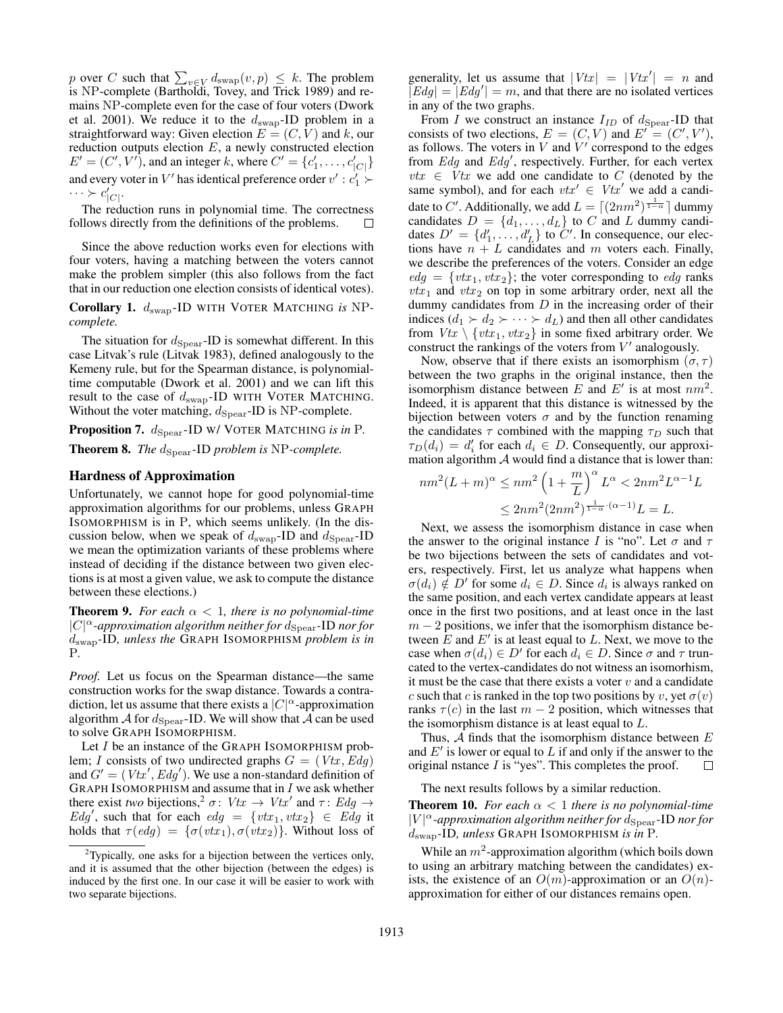p over C such that  $\sum_{v \in V} d_{\text{swap}}(v, p) \leq k$ . The problem is NP-complete (Bartholdi, Tovey, and Trick 1989) and remains NP-complete even for the case of four voters (Dwork et al. 2001). We reduce it to the  $d_{swap}$ -ID problem in a straightforward way: Given election  $E = (C, V)$  and k, our reduction outputs election  $E$ , a newly constructed election  $E' = (C', V')$ , and an integer k, where  $C' = \{c'_1, \dots, c'_{|C|}\}\$ and every voter in  $V'$  has identical preference order  $v': c'_1 \succ$  $\cdots \succ c'_{|C|}$ .

The reduction runs in polynomial time. The correctness follows directly from the definitions of the problems.  $\Box$ 

Since the above reduction works even for elections with four voters, having a matching between the voters cannot make the problem simpler (this also follows from the fact that in our reduction one election consists of identical votes).

Corollary 1.  $d_{swap}$ -ID WITH VOTER MATCHING is NP*complete.*

The situation for  $d_{\text{Spear}}$ -ID is somewhat different. In this case Litvak's rule (Litvak 1983), defined analogously to the Kemeny rule, but for the Spearman distance, is polynomialtime computable (Dwork et al. 2001) and we can lift this result to the case of  $d_{swap}$ -ID WITH VOTER MATCHING. Without the voter matching,  $d_{\text{Spear}}$ -ID is NP-complete.

Proposition 7.  $d_{\text{Spear}}$ -ID W/ VOTER MATCHING *is in* P. **Theorem 8.** *The*  $d_{\text{Spear}}$ -ID *problem is* NP-*complete.* 

#### Hardness of Approximation

Unfortunately, we cannot hope for good polynomial-time approximation algorithms for our problems, unless GRAPH ISOMORPHISM is in P, which seems unlikely. (In the discussion below, when we speak of  $d_{swap}$ -ID and  $d_{Spear}$ -ID we mean the optimization variants of these problems where instead of deciding if the distance between two given elections is at most a given value, we ask to compute the distance between these elections.)

**Theorem 9.** *For each*  $\alpha$  < 1*, there is no polynomial-time*  $|C|^\alpha$ -approximation algorithm neither for  $\bar{d}_{\rm Spear}$ -ID nor for dswap*-*ID*, unless the* GRAPH ISOMORPHISM *problem is in* P*.*

*Proof.* Let us focus on the Spearman distance—the same construction works for the swap distance. Towards a contradiction, let us assume that there exists a  $|C|^{\alpha}$ -approximation algorithm  $\mathcal A$  for  $d_{\text{Spear}}$ -ID. We will show that  $\mathcal A$  can be used to solve GRAPH ISOMORPHISM.

Let I be an instance of the GRAPH ISOMORPHISM problem; I consists of two undirected graphs  $G = (Vtx, Edg)$ and  $G' = (Vtx', Edg')$ . We use a non-standard definition of GRAPH ISOMORPHISM and assume that in  $I$  we ask whether there exist *two* bijections,<sup>2</sup>  $\sigma$ :  $Vtx \rightarrow Vtx'$  and  $\tau$ :  $Edg \rightarrow$ Edg', such that for each edg = {vtx<sub>1</sub>, vtx<sub>2</sub>}  $\in$  Edg it holds that  $\tau(\text{ed}q) = {\sigma(\text{vtx}_1), \sigma(\text{vtx}_2)}$ . Without loss of

generality, let us assume that  $|Vtx| = |Vtx'| = n$  and  $|Edg| = |Edg'| = m$ , and that there are no isolated vertices in any of the two graphs.

From I we construct an instance  $I_{ID}$  of  $d_{Spear}$ -ID that consists of two elections,  $E = (C, V)$  and  $E' = (C', V')$ , as follows. The voters in  $V$  and  $\dot{V}'$  correspond to the edges from  $Edg$  and  $Edg'$ , respectively. Further, for each vertex  $vtx \in Vtx$  we add one candidate to C (denoted by the same symbol), and for each  $vtx' \in Vtx'$  we add a candidate to C'. Additionally, we add  $L = \lfloor (2nm^2)^{\frac{1}{1-\alpha}} \rfloor$  dummy candidates  $D = \{d_1, \ldots, d_L\}$  to C and L dummy candidates  $D' = \{d'_1, \ldots, d'_L\}$  to  $C'$ . In consequence, our elections have  $n + L$  candidates and m voters each. Finally, we describe the preferences of the voters. Consider an edge  $edg = \{vtx_1, vtx_2\}$ ; the voter corresponding to edg ranks  $vtx_1$  and  $vtx_2$  on top in some arbitrary order, next all the dummy candidates from  $D$  in the increasing order of their indices  $(d_1 \succ d_2 \succ \cdots \succ d_L)$  and then all other candidates from  $Vtx \setminus \{vtx_1, vtx_2\}$  in some fixed arbitrary order. We construct the rankings of the voters from  $V'$  analogously.

Now, observe that if there exists an isomorphism  $(\sigma, \tau)$ between the two graphs in the original instance, then the isomorphism distance between E and E' is at most  $nm^2$ . Indeed, it is apparent that this distance is witnessed by the bijection between voters  $\sigma$  and by the function renaming the candidates  $\tau$  combined with the mapping  $\tau_D$  such that  $\tau_D(d_i) = d'_i$  for each  $d_i \in D$ . Consequently, our approximation algorithm  $A$  would find a distance that is lower than:

$$
nm^{2}(L+m)^{\alpha} \leq nm^{2} \left(1 + \frac{m}{L}\right)^{\alpha} L^{\alpha} < 2nm^{2}L^{\alpha-1}L
$$
  

$$
\leq 2nm^{2}(2nm^{2})^{\frac{1}{1-\alpha} \cdot (\alpha-1)}L = L.
$$

Next, we assess the isomorphism distance in case when the answer to the original instance I is "no". Let  $\sigma$  and  $\tau$ be two bijections between the sets of candidates and voters, respectively. First, let us analyze what happens when  $\sigma(d_i) \notin D'$  for some  $d_i \in D$ . Since  $d_i$  is always ranked on the same position, and each vertex candidate appears at least once in the first two positions, and at least once in the last  $m - 2$  positions, we infer that the isomorphism distance between  $\tilde{E}$  and  $E'$  is at least equal to L. Next, we move to the case when  $\sigma(d_i) \in D'$  for each  $d_i \in D$ . Since  $\sigma$  and  $\tau$  truncated to the vertex-candidates do not witness an isomorhism, it must be the case that there exists a voter  $v$  and a candidate c such that c is ranked in the top two positions by v, yet  $\sigma(v)$ ranks  $\tau(c)$  in the last  $m - 2$  position, which witnesses that the isomorphism distance is at least equal to  $L$ .

Thus,  $A$  finds that the isomorphism distance between  $E$ and  $E'$  is lower or equal to  $L$  if and only if the answer to the original nstance I is "yes". This completes the proof.  $\Box$ 

The next results follows by a similar reduction.

**Theorem 10.** *For each*  $\alpha$  < 1 *there is no polynomial-time*  $|V|^{\alpha}$ -approximation algorithm neither for  $d_{\text{Spear}}$ -ID nor for dswap*-*ID*, unless* GRAPH ISOMORPHISM *is in* P*.*

While an  $m^2$ -approximation algorithm (which boils down to using an arbitrary matching between the candidates) exists, the existence of an  $O(m)$ -approximation or an  $O(n)$ approximation for either of our distances remains open.

<sup>&</sup>lt;sup>2</sup>Typically, one asks for a bijection between the vertices only, and it is assumed that the other bijection (between the edges) is induced by the first one. In our case it will be easier to work with two separate bijections.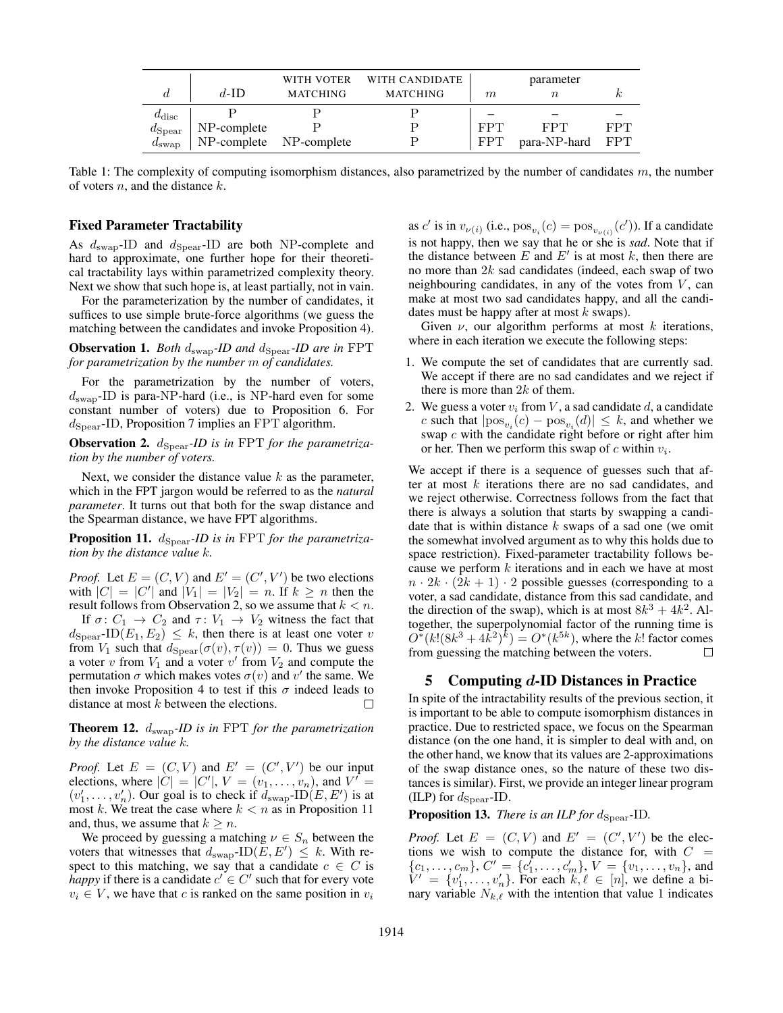|                 | $d$ -ID                 | WITH VOTER<br>MATCHING | WITH CANDIDATE<br><b>MATCHING</b> | m          | parameter        |     |
|-----------------|-------------------------|------------------------|-----------------------------------|------------|------------------|-----|
| $a_{\rm disc}$  |                         |                        |                                   |            |                  |     |
| $d_{\rm Spear}$ | NP-complete             |                        |                                   | FPT        | FPT              | FPT |
| $u_{\rm swap}$  | NP-complete NP-complete |                        |                                   | <b>FPT</b> | para-NP-hard FPT |     |

Table 1: The complexity of computing isomorphism distances, also parametrized by the number of candidates  $m$ , the number of voters  $n$ , and the distance  $k$ .

#### Fixed Parameter Tractability

As  $d_{swap}$ -ID and  $d_{Spear}$ -ID are both NP-complete and hard to approximate, one further hope for their theoretical tractability lays within parametrized complexity theory. Next we show that such hope is, at least partially, not in vain.

For the parameterization by the number of candidates, it suffices to use simple brute-force algorithms (we guess the matching between the candidates and invoke Proposition 4).

**Observation 1.** *Both*  $d_{swap}$ -*ID* and  $d_{Spear}$ -*ID* are in FPT *for parametrization by the number* m *of candidates.*

For the parametrization by the number of voters,  $d_{\text{swap}}$ -ID is para-NP-hard (i.e., is NP-hard even for some constant number of voters) due to Proposition 6. For  $d_{Spear}$ -ID, Proposition 7 implies an FPT algorithm.

Observation 2.  $d_{\text{Spear}}$ -*ID* is in FPT for the parametriza*tion by the number of voters.*

Next, we consider the distance value  $k$  as the parameter, which in the FPT jargon would be referred to as the *natural parameter*. It turns out that both for the swap distance and the Spearman distance, we have FPT algorithms.

**Proposition 11.**  $d_{\text{Spear}}$ -*ID* is in FPT for the parametriza*tion by the distance value* k*.*

*Proof.* Let  $E = (C, V)$  and  $E' = (C', V')$  be two elections with  $|C| = |C'|$  and  $|V_1| = |V_2| = n$ . If  $k \ge n$  then the result follows from Observation 2, so we assume that  $k < n$ .

If  $\sigma: C_1 \to C_2$  and  $\tau: V_1 \to V_2$  witness the fact that  $d_{\text{Spear}}$ -ID $(E_1, E_2) \leq k$ , then there is at least one voter v from  $V_1$  such that  $d_{\text{Spear}}(\sigma(v), \tau(v)) = 0$ . Thus we guess a voter v from  $V_1$  and a voter v' from  $V_2$  and compute the permutation  $\sigma$  which makes votes  $\sigma(v)$  and  $v'$  the same. We then invoke Proposition 4 to test if this  $\sigma$  indeed leads to distance at most  $k$  between the elections. П

Theorem 12. dswap*-ID is in* FPT *for the parametrization by the distance value* k*.*

*Proof.* Let  $E = (C, V)$  and  $E' = (C', V')$  be our input elections, where  $|C| = |C'|$ ,  $V = (v_1, \ldots, v_n)$ , and  $V' =$  $(v'_1, \ldots, v'_n)$ . Our goal is to check if  $d_{swap} \text{-ID}(E, E')$  is at most k. We treat the case where  $k < n$  as in Proposition 11 and, thus, we assume that  $k \geq n$ .

We proceed by guessing a matching  $\nu \in S_n$  between the voters that witnesses that  $d_{swap}$ -ID $(E, E') \leq k$ . With respect to this matching, we say that a candidate  $c \in C$  is *happy* if there is a candidate  $c' \in C'$  such that for every vote  $v_i \in V$ , we have that c is ranked on the same position in  $v_i$ 

as c' is in  $v_{\nu(i)}$  (i.e.,  $pos_{v_i}(c) = pos_{v_{\nu(i)}}(c')$ ). If a candidate is not happy, then we say that he or she is *sad*. Note that if the distance between  $E$  and  $E'$  is at most  $k$ , then there are no more than  $2k$  sad candidates (indeed, each swap of two neighbouring candidates, in any of the votes from  $V$ , can make at most two sad candidates happy, and all the candidates must be happy after at most  $k$  swaps).

Given  $\nu$ , our algorithm performs at most k iterations, where in each iteration we execute the following steps:

- 1. We compute the set of candidates that are currently sad. We accept if there are no sad candidates and we reject if there is more than  $2k$  of them.
- 2. We guess a voter  $v_i$  from V, a sad candidate d, a candidate c such that  $|\text{pos}_{v_i}(c) - \text{pos}_{v_i}(d)| \leq k$ , and whether we swap  $c$  with the candidate right before or right after him or her. Then we perform this swap of  $c$  within  $v_i$ .

We accept if there is a sequence of guesses such that after at most  $k$  iterations there are no sad candidates, and we reject otherwise. Correctness follows from the fact that there is always a solution that starts by swapping a candidate that is within distance  $k$  swaps of a sad one (we omit the somewhat involved argument as to why this holds due to space restriction). Fixed-parameter tractability follows because we perform  $k$  iterations and in each we have at most  $n \cdot 2k \cdot (2k+1) \cdot 2$  possible guesses (corresponding to a voter, a sad candidate, distance from this sad candidate, and the direction of the swap), which is at most  $8k^3 + 4k^2$ . Altogether, the superpolynomial factor of the running time is  $O^*(k! (8k^3 + 4k^2)^k) = O^*(k^{5k})$ , where the k! factor comes from guessing the matching between the voters.  $\Box$ 

## 5 Computing  $d$ -ID Distances in Practice

In spite of the intractability results of the previous section, it is important to be able to compute isomorphism distances in practice. Due to restricted space, we focus on the Spearman distance (on the one hand, it is simpler to deal with and, on the other hand, we know that its values are 2-approximations of the swap distance ones, so the nature of these two distances is similar). First, we provide an integer linear program (ILP) for  $d_{\text{Spear}}$ -ID.

Proposition 13. *There is an ILP for d*<sub>Spear</sub>-ID.

*Proof.* Let  $E = (C, V)$  and  $E' = (C', V')$  be the elections we wish to compute the distance for, with  $C =$  ${c_1, \ldots, c_m}$ ,  $C' = {c'_1, \ldots, c'_m}$ ,  $V = {v_1, \ldots, v_n}$ , and  $V' = \{v'_1, \ldots, v'_n\}$ . For each  $k, \ell \in [n]$ , we define a binary variable  $N_{k,\ell}$  with the intention that value 1 indicates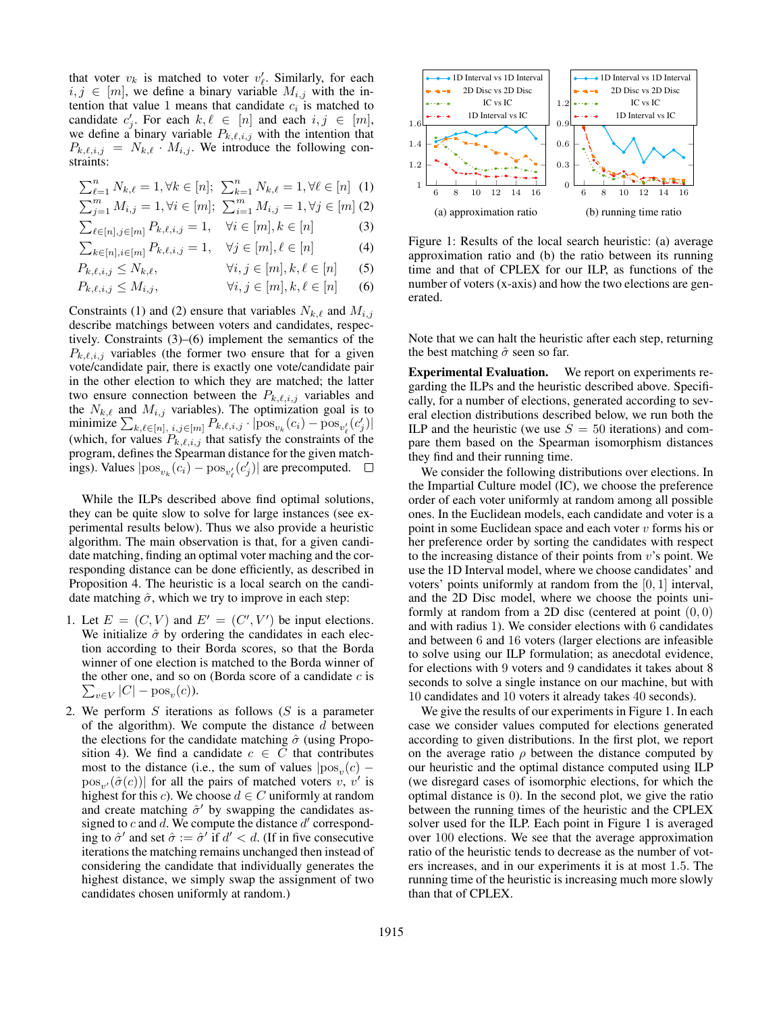that voter  $v_k$  is matched to voter  $v'_\ell$ . Similarly, for each  $i, j \in [m]$ , we define a binary variable  $M_{i,j}$  with the intention that value 1 means that candidate  $c_i$  is matched to candidate  $c'_j$ . For each  $k, \ell \in [n]$  and each  $i, j \in [m]$ , we define a binary variable  $P_{k,\ell,i,j}$  with the intention that  $P_{k,\ell,i,j} = N_{k,\ell} \cdot M_{i,j}$ . We introduce the following constraints:

$$
\sum_{\ell=1}^{n} N_{k,\ell} = 1, \forall k \in [n]; \ \sum_{k=1}^{n} N_{k,\ell} = 1, \forall \ell \in [n] \ (1)
$$

- $\sum_{j=1}^{m} M_{i,j} = 1, \forall i \in [m]; \sum_{i=1}^{m} M_{i,j} = 1, \forall j \in [m]$  (2)
- $\sum_{\ell \in [n], j \in [m]} P_{k,\ell,i,j} = 1, \quad \forall i \in [m], k \in [n]$  (3)
- $\sum_{k \in [n], i \in [m]} P_{k,\ell,i,j} = 1, \quad \forall j \in [m], \ell \in [n]$  (4)

$$
P_{k,\ell,i,j} \le N_{k,\ell}, \qquad \forall i,j \in [m], k,\ell \in [n] \qquad (5)
$$

 $P_{k,\ell,i,j} \leq M_{i,j}, \qquad \forall i,j \in [m], k,\ell \in [n]$  (6)

Constraints (1) and (2) ensure that variables  $N_{k,\ell}$  and  $M_{i,j}$ describe matchings between voters and candidates, respectively. Constraints (3)–(6) implement the semantics of the  $P_{k,\ell,i,j}$  variables (the former two ensure that for a given vote/candidate pair, there is exactly one vote/candidate pair in the other election to which they are matched; the latter two ensure connection between the  $P_{k,\ell,i,j}$  variables and the  $N_{k,\ell}$  and  $M_{i,j}$  variables). The optimization goal is to minimize  $\sum_{k,\ell \in [n], i,j \in [m]} P_{k,\ell,i,j} \cdot |pos_{v_k}(c_i) - pos_{v'_\ell}(c'_j)|$ (which, for values  $P_{k,\ell,i,j}$  that satisfy the constraints of the program, defines the Spearman distance for the given matchings). Values  $|pos_{v_k}(c_i) - pos_{v'_\ell}(c'_j)|$  are precomputed.

While the ILPs described above find optimal solutions, they can be quite slow to solve for large instances (see experimental results below). Thus we also provide a heuristic algorithm. The main observation is that, for a given candidate matching, finding an optimal voter maching and the corresponding distance can be done efficiently, as described in Proposition 4. The heuristic is a local search on the candidate matching  $\hat{\sigma}$ , which we try to improve in each step:

- 1. Let  $E = (C, V)$  and  $E' = (C', V')$  be input elections. We initialize  $\hat{\sigma}$  by ordering the candidates in each election according to their Borda scores, so that the Borda winner of one election is matched to the Borda winner of the other one, and so on (Borda score of a candidate  $c$  is  $\sum_{v \in V} |C| - \text{pos}_v(c)$ ).
- 2. We perform  $S$  iterations as follows  $(S$  is a parameter of the algorithm). We compute the distance  $d$  between the elections for the candidate matching  $\hat{\sigma}$  (using Proposition 4). We find a candidate  $c \in C$  that contributes most to the distance (i.e., the sum of values  $|pos_v(c) \left[\text{pos}_{v'}(\hat{\sigma}(c))\right]$  for all the pairs of matched voters  $v, v'$  is highest for this *c*). We choose  $d \in C$  uniformly at random and create matching  $\hat{\sigma}'$  by swapping the candidates assigned to  $c$  and  $d$ . We compute the distance  $d'$  corresponding to  $\hat{\sigma}'$  and set  $\hat{\sigma} := \hat{\sigma}'$  if  $d' < d$ . (If in five consecutive iterations the matching remains unchanged then instead of considering the candidate that individually generates the highest distance, we simply swap the assignment of two candidates chosen uniformly at random.)



Figure 1: Results of the local search heuristic: (a) average approximation ratio and (b) the ratio between its running time and that of CPLEX for our ILP, as functions of the number of voters (x-axis) and how the two elections are generated.

Note that we can halt the heuristic after each step, returning the best matching  $\hat{\sigma}$  seen so far.

Experimental Evaluation. We report on experiments regarding the ILPs and the heuristic described above. Specifically, for a number of elections, generated according to several election distributions described below, we run both the ILP and the heuristic (we use  $S = 50$  iterations) and compare them based on the Spearman isomorphism distances they find and their running time.

We consider the following distributions over elections. In the Impartial Culture model (IC), we choose the preference order of each voter uniformly at random among all possible ones. In the Euclidean models, each candidate and voter is a point in some Euclidean space and each voter  $v$  forms his or her preference order by sorting the candidates with respect to the increasing distance of their points from  $v$ 's point. We use the 1D Interval model, where we choose candidates' and voters' points uniformly at random from the [0, 1] interval, and the 2D Disc model, where we choose the points uniformly at random from a 2D disc (centered at point  $(0, 0)$ ) and with radius 1). We consider elections with 6 candidates and between 6 and 16 voters (larger elections are infeasible to solve using our ILP formulation; as anecdotal evidence, for elections with 9 voters and 9 candidates it takes about 8 seconds to solve a single instance on our machine, but with 10 candidates and 10 voters it already takes 40 seconds).

We give the results of our experiments in Figure 1. In each case we consider values computed for elections generated according to given distributions. In the first plot, we report on the average ratio  $\rho$  between the distance computed by our heuristic and the optimal distance computed using ILP (we disregard cases of isomorphic elections, for which the optimal distance is 0). In the second plot, we give the ratio between the running times of the heuristic and the CPLEX solver used for the ILP. Each point in Figure 1 is averaged over 100 elections. We see that the average approximation ratio of the heuristic tends to decrease as the number of voters increases, and in our experiments it is at most 1.5. The running time of the heuristic is increasing much more slowly than that of CPLEX.